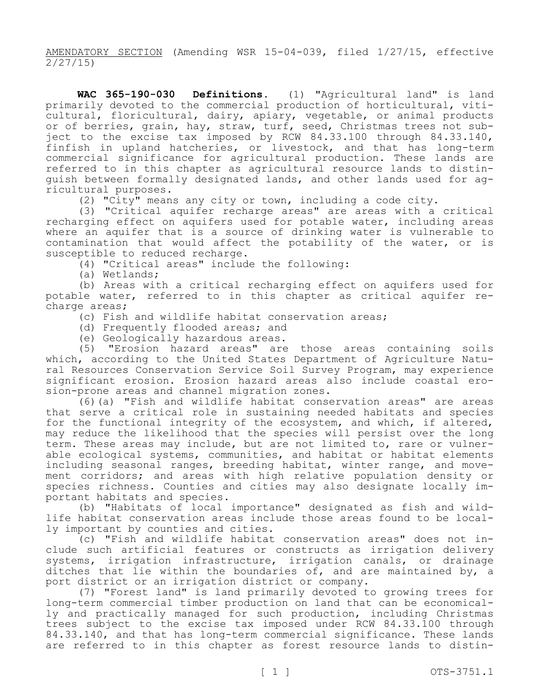AMENDATORY SECTION (Amending WSR 15-04-039, filed 1/27/15, effective 2/27/15)

**WAC 365-190-030 Definitions.** (1) "Agricultural land" is land primarily devoted to the commercial production of horticultural, viticultural, floricultural, dairy, apiary, vegetable, or animal products or of berries, grain, hay, straw, turf, seed, Christmas trees not subject to the excise tax imposed by RCW 84.33.100 through 84.33.140, finfish in upland hatcheries, or livestock, and that has long-term commercial significance for agricultural production. These lands are referred to in this chapter as agricultural resource lands to distinguish between formally designated lands, and other lands used for agricultural purposes.

(2) "City" means any city or town, including a code city.

(3) "Critical aquifer recharge areas" are areas with a critical recharging effect on aquifers used for potable water, including areas where an aquifer that is a source of drinking water is vulnerable to contamination that would affect the potability of the water, or is susceptible to reduced recharge.

(4) "Critical areas" include the following:

(a) Wetlands;

(b) Areas with a critical recharging effect on aquifers used for potable water, referred to in this chapter as critical aquifer recharge areas;

(c) Fish and wildlife habitat conservation areas;

(d) Frequently flooded areas; and

(e) Geologically hazardous areas.<br>(5) "Erosion hazard areas" are

"Erosion hazard areas" are those areas containing soils which, according to the United States Department of Agriculture Natural Resources Conservation Service Soil Survey Program, may experience significant erosion. Erosion hazard areas also include coastal erosion-prone areas and channel migration zones.

(6)(a) "Fish and wildlife habitat conservation areas" are areas that serve a critical role in sustaining needed habitats and species for the functional integrity of the ecosystem, and which, if altered, may reduce the likelihood that the species will persist over the long term. These areas may include, but are not limited to, rare or vulnerable ecological systems, communities, and habitat or habitat elements including seasonal ranges, breeding habitat, winter range, and movement corridors; and areas with high relative population density or species richness. Counties and cities may also designate locally important habitats and species.

(b) "Habitats of local importance" designated as fish and wildlife habitat conservation areas include those areas found to be locally important by counties and cities.

(c) "Fish and wildlife habitat conservation areas" does not include such artificial features or constructs as irrigation delivery systems, irrigation infrastructure, irrigation canals, or drainage ditches that lie within the boundaries of, and are maintained by, a port district or an irrigation district or company.

(7) "Forest land" is land primarily devoted to growing trees for long-term commercial timber production on land that can be economically and practically managed for such production, including Christmas trees subject to the excise tax imposed under RCW 84.33.100 through 84.33.140, and that has long-term commercial significance. These lands are referred to in this chapter as forest resource lands to distin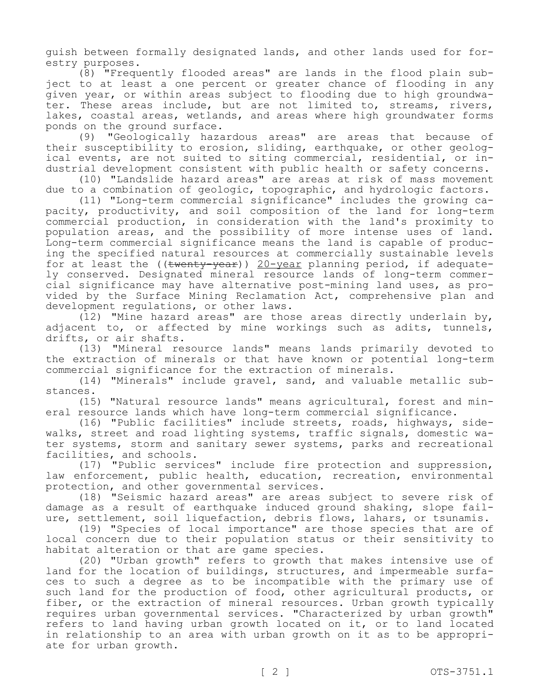guish between formally designated lands, and other lands used for forestry purposes.

(8) "Frequently flooded areas" are lands in the flood plain subject to at least a one percent or greater chance of flooding in any given year, or within areas subject to flooding due to high groundwater. These areas include, but are not limited to, streams, rivers, lakes, coastal areas, wetlands, and areas where high groundwater forms ponds on the ground surface.

(9) "Geologically hazardous areas" are areas that because of their susceptibility to erosion, sliding, earthquake, or other geological events, are not suited to siting commercial, residential, or industrial development consistent with public health or safety concerns.

(10) "Landslide hazard areas" are areas at risk of mass movement due to a combination of geologic, topographic, and hydrologic factors.

(11) "Long-term commercial significance" includes the growing capacity, productivity, and soil composition of the land for long-term commercial production, in consideration with the land's proximity to population areas, and the possibility of more intense uses of land. Long-term commercial significance means the land is capable of producing the specified natural resources at commercially sustainable levels for at least the ((twenty-year)) 20-year planning period, if adequately conserved. Designated mineral resource lands of long-term commercial significance may have alternative post-mining land uses, as provided by the Surface Mining Reclamation Act, comprehensive plan and development regulations, or other laws.

(12) "Mine hazard areas" are those areas directly underlain by, adjacent to, or affected by mine workings such as adits, tunnels, drifts, or air shafts.

(13) "Mineral resource lands" means lands primarily devoted to the extraction of minerals or that have known or potential long-term commercial significance for the extraction of minerals.

(14) "Minerals" include gravel, sand, and valuable metallic substances.

(15) "Natural resource lands" means agricultural, forest and mineral resource lands which have long-term commercial significance.

(16) "Public facilities" include streets, roads, highways, sidewalks, street and road lighting systems, traffic signals, domestic water systems, storm and sanitary sewer systems, parks and recreational facilities, and schools.

(17) "Public services" include fire protection and suppression, law enforcement, public health, education, recreation, environmental protection, and other governmental services.

(18) "Seismic hazard areas" are areas subject to severe risk of damage as a result of earthquake induced ground shaking, slope failure, settlement, soil liquefaction, debris flows, lahars, or tsunamis.

(19) "Species of local importance" are those species that are of local concern due to their population status or their sensitivity to habitat alteration or that are game species.

(20) "Urban growth" refers to growth that makes intensive use of land for the location of buildings, structures, and impermeable surfaces to such a degree as to be incompatible with the primary use of such land for the production of food, other agricultural products, or fiber, or the extraction of mineral resources. Urban growth typically requires urban governmental services. "Characterized by urban growth" refers to land having urban growth located on it, or to land located in relationship to an area with urban growth on it as to be appropriate for urban growth.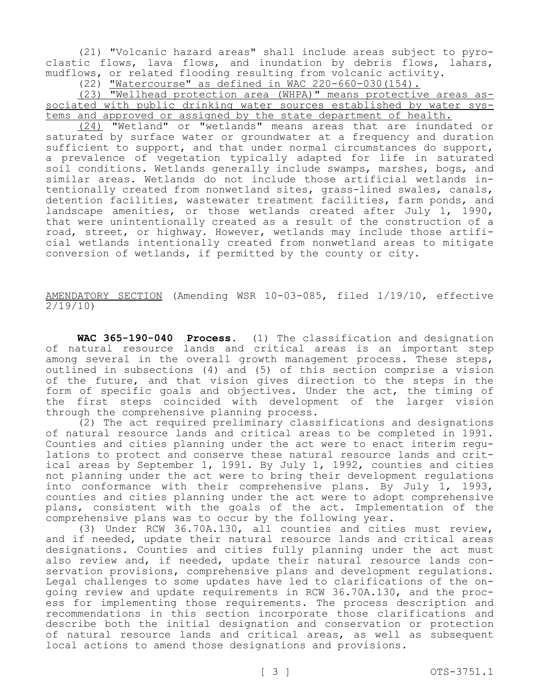(21) "Volcanic hazard areas" shall include areas subject to pyroclastic flows, lava flows, and inundation by debris flows, lahars, mudflows, or related flooding resulting from volcanic activity.

(22) "Watercourse" as defined in WAC 220-660-030(154).

(23) "Wellhead protection area (WHPA)" means protective areas associated with public drinking water sources established by water systems and approved or assigned by the state department of health.

(24) "Wetland" or "wetlands" means areas that are inundated or saturated by surface water or groundwater at a frequency and duration sufficient to support, and that under normal circumstances do support, a prevalence of vegetation typically adapted for life in saturated soil conditions. Wetlands generally include swamps, marshes, bogs, and similar areas. Wetlands do not include those artificial wetlands intentionally created from nonwetland sites, grass-lined swales, canals, detention facilities, wastewater treatment facilities, farm ponds, and landscape amenities, or those wetlands created after July 1, 1990, that were unintentionally created as a result of the construction of a road, street, or highway. However, wetlands may include those artificial wetlands intentionally created from nonwetland areas to mitigate conversion of wetlands, if permitted by the county or city.

AMENDATORY SECTION (Amending WSR 10-03-085, filed 1/19/10, effective 2/19/10)

**WAC 365-190-040 Process.** (1) The classification and designation of natural resource lands and critical areas is an important step among several in the overall growth management process. These steps, outlined in subsections (4) and (5) of this section comprise a vision of the future, and that vision gives direction to the steps in the form of specific goals and objectives. Under the act, the timing of the first steps coincided with development of the larger vision through the comprehensive planning process.

(2) The act required preliminary classifications and designations of natural resource lands and critical areas to be completed in 1991. Counties and cities planning under the act were to enact interim regulations to protect and conserve these natural resource lands and critical areas by September 1, 1991. By July 1, 1992, counties and cities not planning under the act were to bring their development regulations into conformance with their comprehensive plans. By July 1, 1993, counties and cities planning under the act were to adopt comprehensive plans, consistent with the goals of the act. Implementation of the comprehensive plans was to occur by the following year.

(3) Under RCW 36.70A.130, all counties and cities must review, and if needed, update their natural resource lands and critical areas designations. Counties and cities fully planning under the act must also review and, if needed, update their natural resource lands conservation provisions, comprehensive plans and development regulations. Legal challenges to some updates have led to clarifications of the ongoing review and update requirements in RCW 36.70A.130, and the process for implementing those requirements. The process description and recommendations in this section incorporate those clarifications and describe both the initial designation and conservation or protection of natural resource lands and critical areas, as well as subsequent local actions to amend those designations and provisions.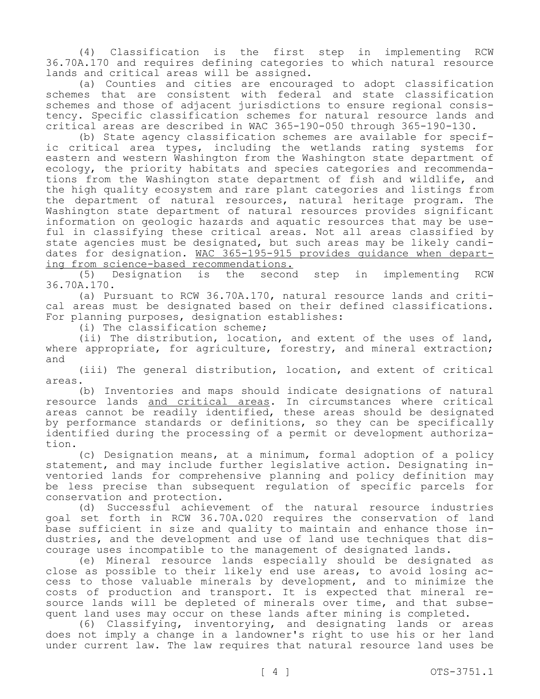(4) Classification is the first step in implementing RCW 36.70A.170 and requires defining categories to which natural resource lands and critical areas will be assigned.

(a) Counties and cities are encouraged to adopt classification schemes that are consistent with federal and state classification schemes and those of adjacent jurisdictions to ensure regional consistency. Specific classification schemes for natural resource lands and critical areas are described in WAC 365-190-050 through 365-190-130.

(b) State agency classification schemes are available for specific critical area types, including the wetlands rating systems for eastern and western Washington from the Washington state department of ecology, the priority habitats and species categories and recommendations from the Washington state department of fish and wildlife, and the high quality ecosystem and rare plant categories and listings from the department of natural resources, natural heritage program. The Washington state department of natural resources provides significant information on geologic hazards and aquatic resources that may be useful in classifying these critical areas. Not all areas classified by state agencies must be designated, but such areas may be likely candidates for designation. WAC 365-195-915 provides guidance when departing from science-based recommendations.

(5) Designation is the second step in implementing RCW 36.70A.170.

(a) Pursuant to RCW 36.70A.170, natural resource lands and critical areas must be designated based on their defined classifications. For planning purposes, designation establishes:

(i) The classification scheme;

(ii) The distribution, location, and extent of the uses of land, where appropriate, for agriculture, forestry, and mineral extraction; and

(iii) The general distribution, location, and extent of critical areas.

(b) Inventories and maps should indicate designations of natural resource lands and critical areas. In circumstances where critical areas cannot be readily identified, these areas should be designated by performance standards or definitions, so they can be specifically identified during the processing of a permit or development authorization.

(c) Designation means, at a minimum, formal adoption of a policy statement, and may include further legislative action. Designating inventoried lands for comprehensive planning and policy definition may be less precise than subsequent regulation of specific parcels for conservation and protection.

(d) Successful achievement of the natural resource industries goal set forth in RCW 36.70A.020 requires the conservation of land base sufficient in size and quality to maintain and enhance those industries, and the development and use of land use techniques that discourage uses incompatible to the management of designated lands.

(e) Mineral resource lands especially should be designated as close as possible to their likely end use areas, to avoid losing access to those valuable minerals by development, and to minimize the costs of production and transport. It is expected that mineral resource lands will be depleted of minerals over time, and that subsequent land uses may occur on these lands after mining is completed.

(6) Classifying, inventorying, and designating lands or areas does not imply a change in a landowner's right to use his or her land under current law. The law requires that natural resource land uses be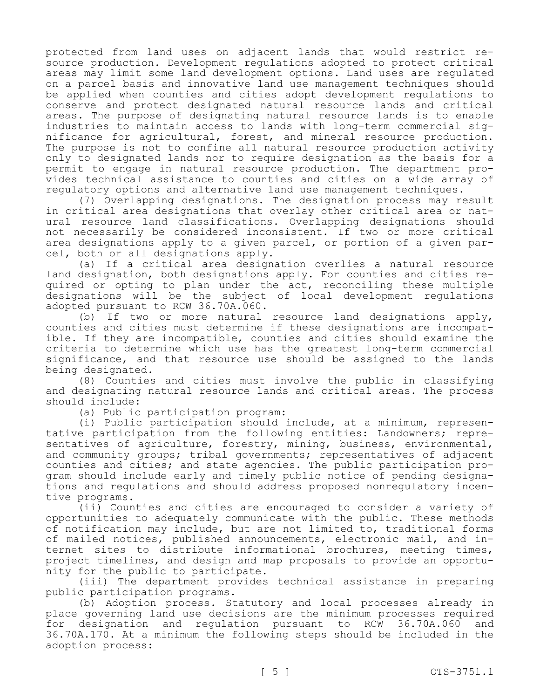protected from land uses on adjacent lands that would restrict resource production. Development regulations adopted to protect critical areas may limit some land development options. Land uses are regulated on a parcel basis and innovative land use management techniques should be applied when counties and cities adopt development regulations to conserve and protect designated natural resource lands and critical areas. The purpose of designating natural resource lands is to enable industries to maintain access to lands with long-term commercial significance for agricultural, forest, and mineral resource production. The purpose is not to confine all natural resource production activity only to designated lands nor to require designation as the basis for a permit to engage in natural resource production. The department provides technical assistance to counties and cities on a wide array of regulatory options and alternative land use management techniques.

(7) Overlapping designations. The designation process may result in critical area designations that overlay other critical area or natural resource land classifications. Overlapping designations should not necessarily be considered inconsistent. If two or more critical area designations apply to a given parcel, or portion of a given parcel, both or all designations apply.

(a) If a critical area designation overlies a natural resource land designation, both designations apply. For counties and cities required or opting to plan under the act, reconciling these multiple designations will be the subject of local development regulations adopted pursuant to RCW 36.70A.060.

(b) If two or more natural resource land designations apply, counties and cities must determine if these designations are incompatible. If they are incompatible, counties and cities should examine the criteria to determine which use has the greatest long-term commercial significance, and that resource use should be assigned to the lands being designated.

(8) Counties and cities must involve the public in classifying and designating natural resource lands and critical areas. The process should include:

(a) Public participation program:

(i) Public participation should include, at a minimum, representative participation from the following entities: Landowners; representatives of agriculture, forestry, mining, business, environmental, and community groups; tribal governments; representatives of adjacent counties and cities; and state agencies. The public participation program should include early and timely public notice of pending designations and regulations and should address proposed nonregulatory incentive programs.

(ii) Counties and cities are encouraged to consider a variety of opportunities to adequately communicate with the public. These methods of notification may include, but are not limited to, traditional forms of mailed notices, published announcements, electronic mail, and internet sites to distribute informational brochures, meeting times, project timelines, and design and map proposals to provide an opportunity for the public to participate.

(iii) The department provides technical assistance in preparing public participation programs.

(b) Adoption process. Statutory and local processes already in place governing land use decisions are the minimum processes required for designation and regulation pursuant to RCW 36.70A.060 and 36.70A.170. At a minimum the following steps should be included in the adoption process: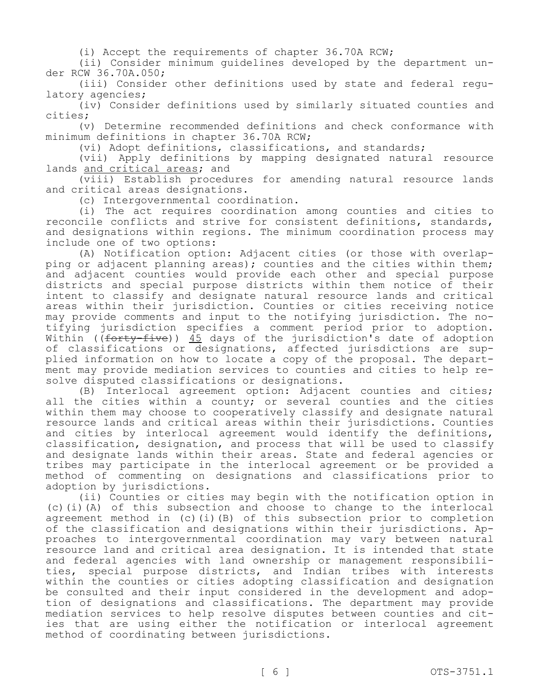(i) Accept the requirements of chapter 36.70A RCW;

(ii) Consider minimum guidelines developed by the department under RCW 36.70A.050;

(iii) Consider other definitions used by state and federal regulatory agencies;

(iv) Consider definitions used by similarly situated counties and cities;

(v) Determine recommended definitions and check conformance with minimum definitions in chapter 36.70A RCW;

(vi) Adopt definitions, classifications, and standards;

(vii) Apply definitions by mapping designated natural resource lands and critical areas; and

(viii) Establish procedures for amending natural resource lands and critical areas designations.

(c) Intergovernmental coordination.

(i) The act requires coordination among counties and cities to reconcile conflicts and strive for consistent definitions, standards, and designations within regions. The minimum coordination process may include one of two options:

(A) Notification option: Adjacent cities (or those with overlapping or adjacent planning areas); counties and the cities within them; and adjacent counties would provide each other and special purpose districts and special purpose districts within them notice of their intent to classify and designate natural resource lands and critical areas within their jurisdiction. Counties or cities receiving notice may provide comments and input to the notifying jurisdiction. The notifying jurisdiction specifies a comment period prior to adoption. Within (( $forty-five$ ))  $45$  days of the jurisdiction's date of adoption of classifications or designations, affected jurisdictions are supplied information on how to locate a copy of the proposal. The department may provide mediation services to counties and cities to help resolve disputed classifications or designations.

(B) Interlocal agreement option: Adjacent counties and cities; all the cities within a county; or several counties and the cities within them may choose to cooperatively classify and designate natural resource lands and critical areas within their jurisdictions. Counties and cities by interlocal agreement would identify the definitions, classification, designation, and process that will be used to classify and designate lands within their areas. State and federal agencies or tribes may participate in the interlocal agreement or be provided a method of commenting on designations and classifications prior to adoption by jurisdictions.

(ii) Counties or cities may begin with the notification option in (c)(i)(A) of this subsection and choose to change to the interlocal agreement method in (c)(i)(B) of this subsection prior to completion of the classification and designations within their jurisdictions. Approaches to intergovernmental coordination may vary between natural resource land and critical area designation. It is intended that state and federal agencies with land ownership or management responsibilities, special purpose districts, and Indian tribes with interests within the counties or cities adopting classification and designation be consulted and their input considered in the development and adoption of designations and classifications. The department may provide mediation services to help resolve disputes between counties and cities that are using either the notification or interlocal agreement method of coordinating between jurisdictions.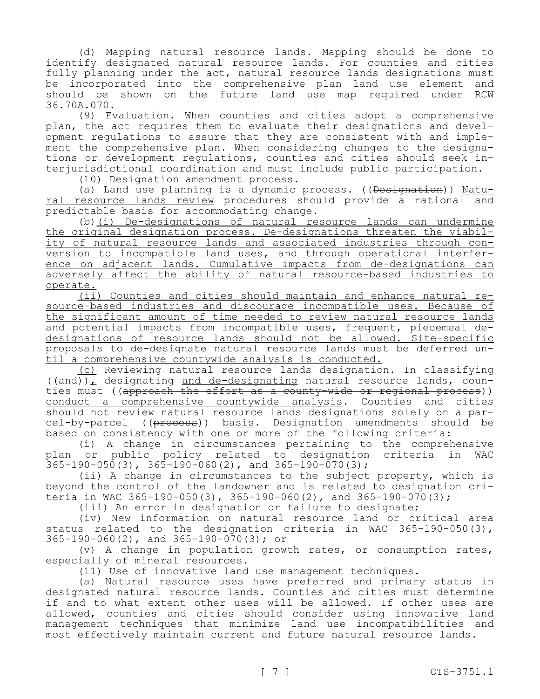(d) Mapping natural resource lands. Mapping should be done to identify designated natural resource lands. For counties and cities fully planning under the act, natural resource lands designations must be incorporated into the comprehensive plan land use element and should be shown on the future land use map required under RCW 36.70A.070.

(9) Evaluation. When counties and cities adopt a comprehensive plan, the act requires them to evaluate their designations and development regulations to assure that they are consistent with and implement the comprehensive plan. When considering changes to the designations or development regulations, counties and cities should seek interjurisdictional coordination and must include public participation.

(10) Designation amendment process.

(a) Land use planning is a dynamic process. ((Designation)) Natural resource lands review procedures should provide a rational and predictable basis for accommodating change.

(b)(i) De-designations of natural resource lands can undermine the original designation process. De-designations threaten the viability of natural resource lands and associated industries through conversion to incompatible land uses, and through operational interference on adjacent lands. Cumulative impacts from de-designations can adversely affect the ability of natural resource-based industries to operate.

(ii) Counties and cities should maintain and enhance natural resource-based industries and discourage incompatible uses. Because of the significant amount of time needed to review natural resource lands and potential impacts from incompatible uses, frequent, piecemeal dedesignations of resource lands should not be allowed. Site-specific proposals to de-designate natural resource lands must be deferred until a comprehensive countywide analysis is conducted.

(c) Reviewing natural resource lands designation. In classifying  $((and))$ , designating and de-designating natural resource lands, counties must ((approach the effort as a county-wide or regional process)) conduct a comprehensive countywide analysis. Counties and cities should not review natural resource lands designations solely on a parcel-by-parcel ((process)) basis. Designation amendments should be based on consistency with one or more of the following criteria:

(i) A change in circumstances pertaining to the comprehensive plan or public policy related to designation criteria in WAC  $365-190-050(3)$ ,  $365-190-060(2)$ , and  $365-190-070(3)$ ;

(ii) A change in circumstances to the subject property, which is beyond the control of the landowner and is related to designation criteria in WAC 365-190-050(3), 365-190-060(2), and 365-190-070(3);

(iii) An error in designation or failure to designate;

(iv) New information on natural resource land or critical area status related to the designation criteria in WAC 365-190-050(3), 365-190-060(2), and 365-190-070(3); or

(v) A change in population growth rates, or consumption rates, especially of mineral resources.

(11) Use of innovative land use management techniques.

(a) Natural resource uses have preferred and primary status in designated natural resource lands. Counties and cities must determine if and to what extent other uses will be allowed. If other uses are allowed, counties and cities should consider using innovative land management techniques that minimize land use incompatibilities and most effectively maintain current and future natural resource lands.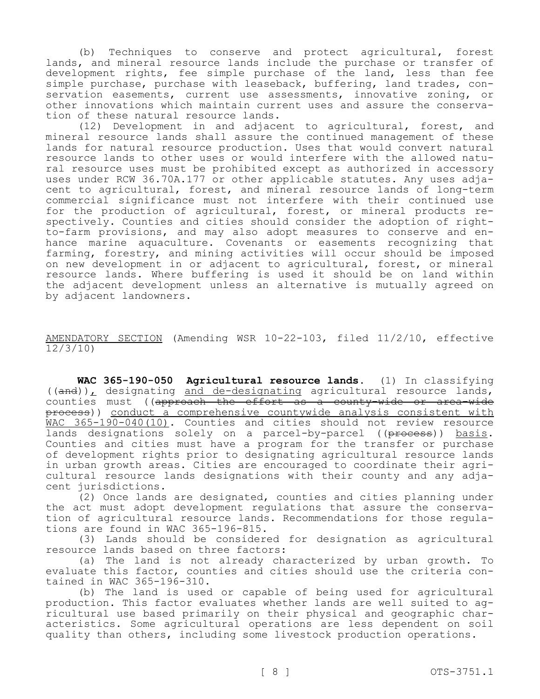(b) Techniques to conserve and protect agricultural, forest lands, and mineral resource lands include the purchase or transfer of development rights, fee simple purchase of the land, less than fee simple purchase, purchase with leaseback, buffering, land trades, conservation easements, current use assessments, innovative zoning, or other innovations which maintain current uses and assure the conservation of these natural resource lands.

(12) Development in and adjacent to agricultural, forest, and mineral resource lands shall assure the continued management of these lands for natural resource production. Uses that would convert natural resource lands to other uses or would interfere with the allowed natural resource uses must be prohibited except as authorized in accessory uses under RCW 36.70A.177 or other applicable statutes. Any uses adjacent to agricultural, forest, and mineral resource lands of long-term commercial significance must not interfere with their continued use for the production of agricultural, forest, or mineral products respectively. Counties and cities should consider the adoption of rightto-farm provisions, and may also adopt measures to conserve and enhance marine aquaculture. Covenants or easements recognizing that farming, forestry, and mining activities will occur should be imposed on new development in or adjacent to agricultural, forest, or mineral resource lands. Where buffering is used it should be on land within the adjacent development unless an alternative is mutually agreed on by adjacent landowners.

AMENDATORY SECTION (Amending WSR 10-22-103, filed 11/2/10, effective 12/3/10)

**WAC 365-190-050 Agricultural resource lands.** (1) In classifying  $((and))$ , designating and de-designating agricultural resource lands, counties must ((approach the effort as a county-wide or area-wide process)) conduct a comprehensive countywide analysis consistent with WAC 365-190-040(10). Counties and cities should not review resource lands designations solely on a parcel-by-parcel ((process)) basis. Counties and cities must have a program for the transfer or purchase of development rights prior to designating agricultural resource lands in urban growth areas. Cities are encouraged to coordinate their agricultural resource lands designations with their county and any adjacent jurisdictions.

(2) Once lands are designated, counties and cities planning under the act must adopt development regulations that assure the conservation of agricultural resource lands. Recommendations for those regulations are found in WAC 365-196-815.

(3) Lands should be considered for designation as agricultural resource lands based on three factors:

(a) The land is not already characterized by urban growth. To evaluate this factor, counties and cities should use the criteria contained in WAC 365-196-310.

(b) The land is used or capable of being used for agricultural production. This factor evaluates whether lands are well suited to agricultural use based primarily on their physical and geographic characteristics. Some agricultural operations are less dependent on soil quality than others, including some livestock production operations.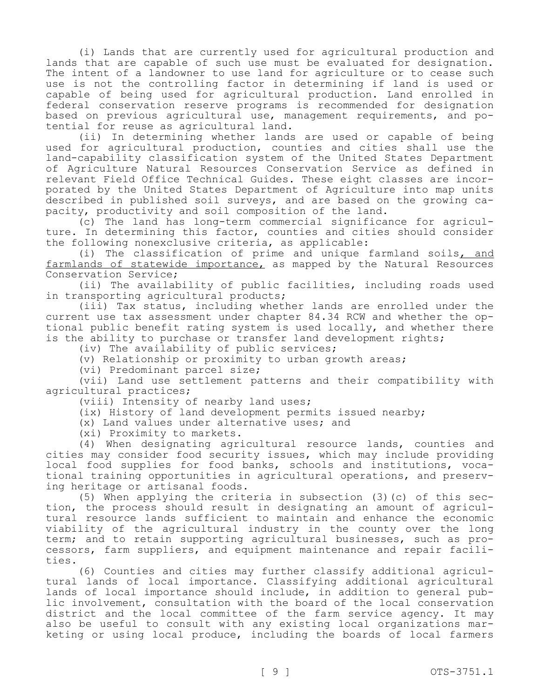(i) Lands that are currently used for agricultural production and lands that are capable of such use must be evaluated for designation. The intent of a landowner to use land for agriculture or to cease such use is not the controlling factor in determining if land is used or capable of being used for agricultural production. Land enrolled in federal conservation reserve programs is recommended for designation based on previous agricultural use, management requirements, and potential for reuse as agricultural land.

(ii) In determining whether lands are used or capable of being used for agricultural production, counties and cities shall use the land-capability classification system of the United States Department of Agriculture Natural Resources Conservation Service as defined in relevant Field Office Technical Guides. These eight classes are incorporated by the United States Department of Agriculture into map units described in published soil surveys, and are based on the growing capacity, productivity and soil composition of the land.

(c) The land has long-term commercial significance for agriculture. In determining this factor, counties and cities should consider the following nonexclusive criteria, as applicable:

(i) The classification of prime and unique farmland soils, and farmlands of statewide importance, as mapped by the Natural Resources Conservation Service;

(ii) The availability of public facilities, including roads used in transporting agricultural products;

(iii) Tax status, including whether lands are enrolled under the current use tax assessment under chapter 84.34 RCW and whether the optional public benefit rating system is used locally, and whether there is the ability to purchase or transfer land development rights;

(iv) The availability of public services;

(v) Relationship or proximity to urban growth areas;

(vi) Predominant parcel size;

(vii) Land use settlement patterns and their compatibility with agricultural practices;

(viii) Intensity of nearby land uses;

(ix) History of land development permits issued nearby;

(x) Land values under alternative uses; and

(xi) Proximity to markets.

(4) When designating agricultural resource lands, counties and cities may consider food security issues, which may include providing local food supplies for food banks, schools and institutions, vocational training opportunities in agricultural operations, and preserving heritage or artisanal foods.

(5) When applying the criteria in subsection (3)(c) of this section, the process should result in designating an amount of agricultural resource lands sufficient to maintain and enhance the economic viability of the agricultural industry in the county over the long term; and to retain supporting agricultural businesses, such as processors, farm suppliers, and equipment maintenance and repair facilities.

(6) Counties and cities may further classify additional agricultural lands of local importance. Classifying additional agricultural lands of local importance should include, in addition to general public involvement, consultation with the board of the local conservation district and the local committee of the farm service agency. It may also be useful to consult with any existing local organizations marketing or using local produce, including the boards of local farmers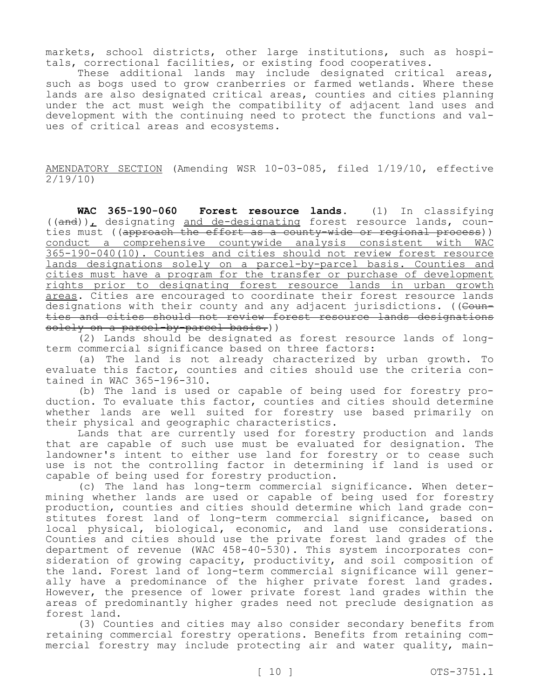markets, school districts, other large institutions, such as hospitals, correctional facilities, or existing food cooperatives.

These additional lands may include designated critical areas, such as bogs used to grow cranberries or farmed wetlands. Where these lands are also designated critical areas, counties and cities planning under the act must weigh the compatibility of adjacent land uses and development with the continuing need to protect the functions and values of critical areas and ecosystems.

AMENDATORY SECTION (Amending WSR 10-03-085, filed 1/19/10, effective 2/19/10)

**WAC 365-190-060 Forest resource lands.** (1) In classifying  $((and))$ , designating and de-designating forest resource lands, counties must ((approach the effort as a county-wide or regional process)) conduct a comprehensive countywide analysis consistent with WAC 365-190-040(10). Counties and cities should not review forest resource lands designations solely on a parcel-by-parcel basis. Counties and cities must have a program for the transfer or purchase of development rights prior to designating forest resource lands in urban growth areas. Cities are encouraged to coordinate their forest resource lands designations with their county and any adjacent jurisdictions. ((Counties and cities should not review forest resource lands designations solely on a parcel-by-parcel basis.))

(2) Lands should be designated as forest resource lands of longterm commercial significance based on three factors:

(a) The land is not already characterized by urban growth. To evaluate this factor, counties and cities should use the criteria contained in WAC 365-196-310.

(b) The land is used or capable of being used for forestry production. To evaluate this factor, counties and cities should determine whether lands are well suited for forestry use based primarily on their physical and geographic characteristics.

Lands that are currently used for forestry production and lands that are capable of such use must be evaluated for designation. The landowner's intent to either use land for forestry or to cease such use is not the controlling factor in determining if land is used or capable of being used for forestry production.

(c) The land has long-term commercial significance. When determining whether lands are used or capable of being used for forestry production, counties and cities should determine which land grade constitutes forest land of long-term commercial significance, based on local physical, biological, economic, and land use considerations. Counties and cities should use the private forest land grades of the department of revenue (WAC 458-40-530). This system incorporates consideration of growing capacity, productivity, and soil composition of the land. Forest land of long-term commercial significance will generally have a predominance of the higher private forest land grades. However, the presence of lower private forest land grades within the areas of predominantly higher grades need not preclude designation as forest land.

(3) Counties and cities may also consider secondary benefits from retaining commercial forestry operations. Benefits from retaining commercial forestry may include protecting air and water quality, main-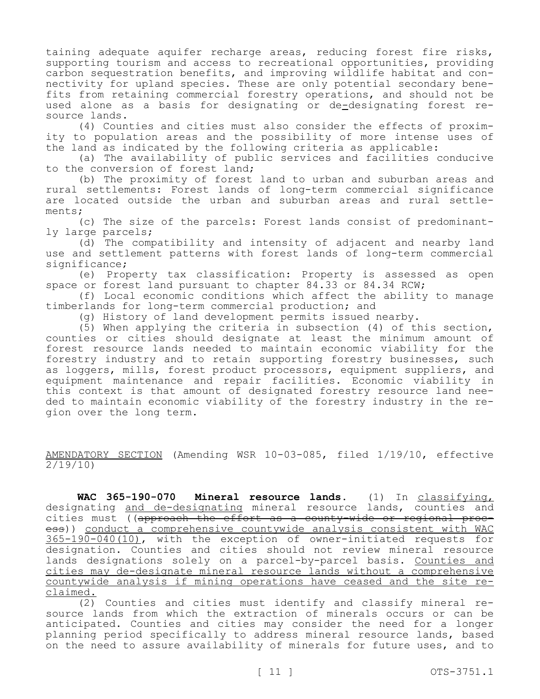taining adequate aquifer recharge areas, reducing forest fire risks, supporting tourism and access to recreational opportunities, providing carbon sequestration benefits, and improving wildlife habitat and connectivity for upland species. These are only potential secondary benefits from retaining commercial forestry operations, and should not be used alone as a basis for designating or de-designating forest resource lands.

(4) Counties and cities must also consider the effects of proximity to population areas and the possibility of more intense uses of the land as indicated by the following criteria as applicable:

(a) The availability of public services and facilities conducive to the conversion of forest land;

(b) The proximity of forest land to urban and suburban areas and rural settlements: Forest lands of long-term commercial significance are located outside the urban and suburban areas and rural settlements;

(c) The size of the parcels: Forest lands consist of predominantly large parcels;

(d) The compatibility and intensity of adjacent and nearby land use and settlement patterns with forest lands of long-term commercial significance;

(e) Property tax classification: Property is assessed as open space or forest land pursuant to chapter 84.33 or 84.34 RCW;

(f) Local economic conditions which affect the ability to manage timberlands for long-term commercial production; and

(g) History of land development permits issued nearby.

(5) When applying the criteria in subsection (4) of this section, counties or cities should designate at least the minimum amount of forest resource lands needed to maintain economic viability for the forestry industry and to retain supporting forestry businesses, such as loggers, mills, forest product processors, equipment suppliers, and equipment maintenance and repair facilities. Economic viability in this context is that amount of designated forestry resource land needed to maintain economic viability of the forestry industry in the region over the long term.

AMENDATORY SECTION (Amending WSR 10-03-085, filed 1/19/10, effective 2/19/10)

**WAC 365-190-070 Mineral resource lands.** (1) In classifying, designating and de-designating mineral resource lands, counties and cities must ((approach the effort as a county-wide or regional process)) conduct a comprehensive countywide analysis consistent with WAC 365-190-040(10), with the exception of owner-initiated requests for designation. Counties and cities should not review mineral resource lands designations solely on a parcel-by-parcel basis. Counties and cities may de-designate mineral resource lands without a comprehensive countywide analysis if mining operations have ceased and the site reclaimed.

(2) Counties and cities must identify and classify mineral resource lands from which the extraction of minerals occurs or can be anticipated. Counties and cities may consider the need for a longer planning period specifically to address mineral resource lands, based on the need to assure availability of minerals for future uses, and to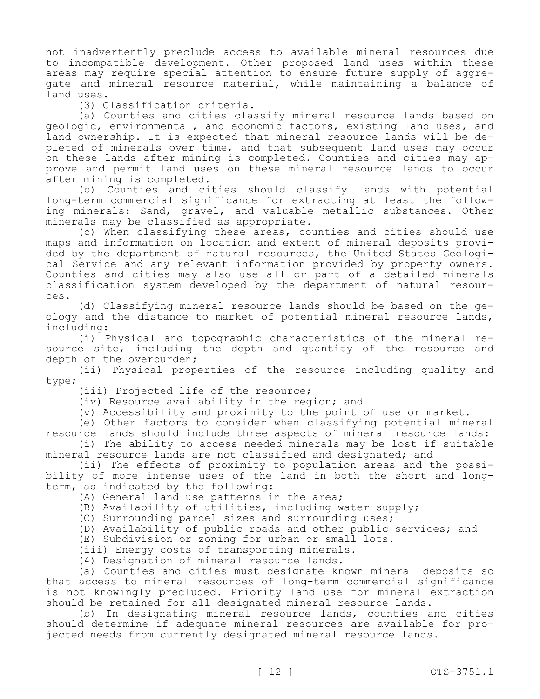not inadvertently preclude access to available mineral resources due to incompatible development. Other proposed land uses within these areas may require special attention to ensure future supply of aggregate and mineral resource material, while maintaining a balance of land uses.

(3) Classification criteria.

(a) Counties and cities classify mineral resource lands based on geologic, environmental, and economic factors, existing land uses, and land ownership. It is expected that mineral resource lands will be depleted of minerals over time, and that subsequent land uses may occur on these lands after mining is completed. Counties and cities may approve and permit land uses on these mineral resource lands to occur after mining is completed.

(b) Counties and cities should classify lands with potential long-term commercial significance for extracting at least the following minerals: Sand, gravel, and valuable metallic substances. Other minerals may be classified as appropriate.

(c) When classifying these areas, counties and cities should use maps and information on location and extent of mineral deposits provided by the department of natural resources, the United States Geological Service and any relevant information provided by property owners. Counties and cities may also use all or part of a detailed minerals classification system developed by the department of natural resources.

(d) Classifying mineral resource lands should be based on the geology and the distance to market of potential mineral resource lands, including:

(i) Physical and topographic characteristics of the mineral resource site, including the depth and quantity of the resource and depth of the overburden;

(ii) Physical properties of the resource including quality and type;

(iii) Projected life of the resource;

(iv) Resource availability in the region; and

(v) Accessibility and proximity to the point of use or market.

(e) Other factors to consider when classifying potential mineral resource lands should include three aspects of mineral resource lands:

(i) The ability to access needed minerals may be lost if suitable mineral resource lands are not classified and designated; and

(ii) The effects of proximity to population areas and the possibility of more intense uses of the land in both the short and longterm, as indicated by the following:

(A) General land use patterns in the area;

(B) Availability of utilities, including water supply;

(C) Surrounding parcel sizes and surrounding uses;

(D) Availability of public roads and other public services; and

(E) Subdivision or zoning for urban or small lots.

(iii) Energy costs of transporting minerals.

(4) Designation of mineral resource lands.

(a) Counties and cities must designate known mineral deposits so that access to mineral resources of long-term commercial significance is not knowingly precluded. Priority land use for mineral extraction should be retained for all designated mineral resource lands.

(b) In designating mineral resource lands, counties and cities should determine if adequate mineral resources are available for projected needs from currently designated mineral resource lands.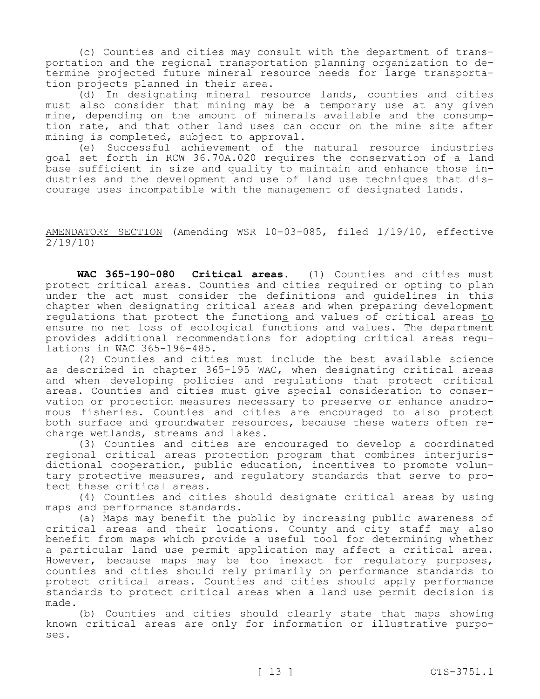(c) Counties and cities may consult with the department of transportation and the regional transportation planning organization to determine projected future mineral resource needs for large transportation projects planned in their area.

(d) In designating mineral resource lands, counties and cities must also consider that mining may be a temporary use at any given mine, depending on the amount of minerals available and the consumption rate, and that other land uses can occur on the mine site after mining is completed, subject to approval.

(e) Successful achievement of the natural resource industries goal set forth in RCW 36.70A.020 requires the conservation of a land base sufficient in size and quality to maintain and enhance those industries and the development and use of land use techniques that discourage uses incompatible with the management of designated lands.

## AMENDATORY SECTION (Amending WSR 10-03-085, filed 1/19/10, effective 2/19/10)

**WAC 365-190-080 Critical areas.** (1) Counties and cities must protect critical areas. Counties and cities required or opting to plan under the act must consider the definitions and guidelines in this chapter when designating critical areas and when preparing development regulations that protect the functions and values of critical areas to ensure no net loss of ecological functions and values. The department provides additional recommendations for adopting critical areas regulations in WAC 365-196-485.

(2) Counties and cities must include the best available science as described in chapter 365-195 WAC, when designating critical areas and when developing policies and regulations that protect critical areas. Counties and cities must give special consideration to conservation or protection measures necessary to preserve or enhance anadromous fisheries. Counties and cities are encouraged to also protect both surface and groundwater resources, because these waters often recharge wetlands, streams and lakes.

(3) Counties and cities are encouraged to develop a coordinated regional critical areas protection program that combines interjurisdictional cooperation, public education, incentives to promote voluntary protective measures, and regulatory standards that serve to protect these critical areas.

(4) Counties and cities should designate critical areas by using maps and performance standards.

(a) Maps may benefit the public by increasing public awareness of critical areas and their locations. County and city staff may also benefit from maps which provide a useful tool for determining whether a particular land use permit application may affect a critical area. However, because maps may be too inexact for regulatory purposes, counties and cities should rely primarily on performance standards to protect critical areas. Counties and cities should apply performance standards to protect critical areas when a land use permit decision is made.

(b) Counties and cities should clearly state that maps showing known critical areas are only for information or illustrative purposes.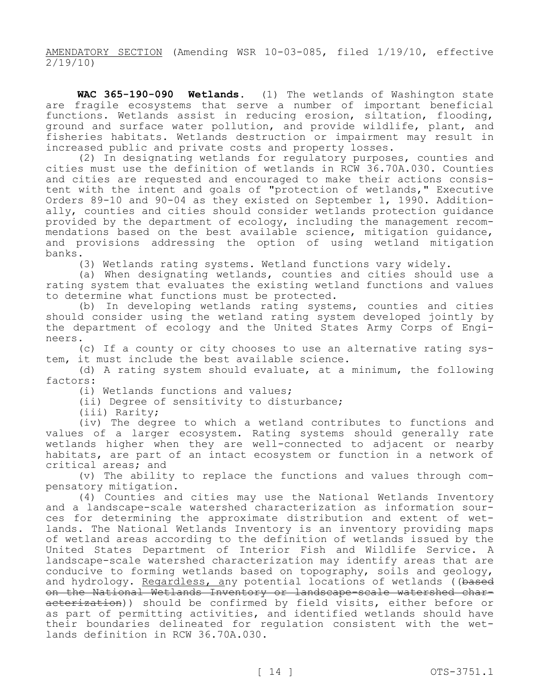AMENDATORY SECTION (Amending WSR 10-03-085, filed 1/19/10, effective 2/19/10)

**WAC 365-190-090 Wetlands.** (1) The wetlands of Washington state are fragile ecosystems that serve a number of important beneficial functions. Wetlands assist in reducing erosion, siltation, flooding, ground and surface water pollution, and provide wildlife, plant, and fisheries habitats. Wetlands destruction or impairment may result in increased public and private costs and property losses.

(2) In designating wetlands for regulatory purposes, counties and cities must use the definition of wetlands in RCW 36.70A.030. Counties and cities are requested and encouraged to make their actions consistent with the intent and goals of "protection of wetlands," Executive Orders 89-10 and 90-04 as they existed on September 1, 1990. Additionally, counties and cities should consider wetlands protection guidance provided by the department of ecology, including the management recommendations based on the best available science, mitigation guidance, and provisions addressing the option of using wetland mitigation banks.

(3) Wetlands rating systems. Wetland functions vary widely.

(a) When designating wetlands, counties and cities should use a rating system that evaluates the existing wetland functions and values to determine what functions must be protected.

(b) In developing wetlands rating systems, counties and cities should consider using the wetland rating system developed jointly by the department of ecology and the United States Army Corps of Engineers.

(c) If a county or city chooses to use an alternative rating system, it must include the best available science.

(d) A rating system should evaluate, at a minimum, the following factors:

(i) Wetlands functions and values;

(ii) Degree of sensitivity to disturbance;

(iii) Rarity;

(iv) The degree to which a wetland contributes to functions and values of a larger ecosystem. Rating systems should generally rate wetlands higher when they are well-connected to adjacent or nearby habitats, are part of an intact ecosystem or function in a network of critical areas; and

(v) The ability to replace the functions and values through compensatory mitigation.

(4) Counties and cities may use the National Wetlands Inventory and a landscape-scale watershed characterization as information sources for determining the approximate distribution and extent of wetlands. The National Wetlands Inventory is an inventory providing maps of wetland areas according to the definition of wetlands issued by the United States Department of Interior Fish and Wildlife Service. A landscape-scale watershed characterization may identify areas that are conducive to forming wetlands based on topography, soils and geology, and hydrology. Regardless, any potential locations of wetlands ((based on the National Wetlands Inventory or landscape-scale watershed characterization)) should be confirmed by field visits, either before or as part of permitting activities, and identified wetlands should have their boundaries delineated for regulation consistent with the wetlands definition in RCW 36.70A.030.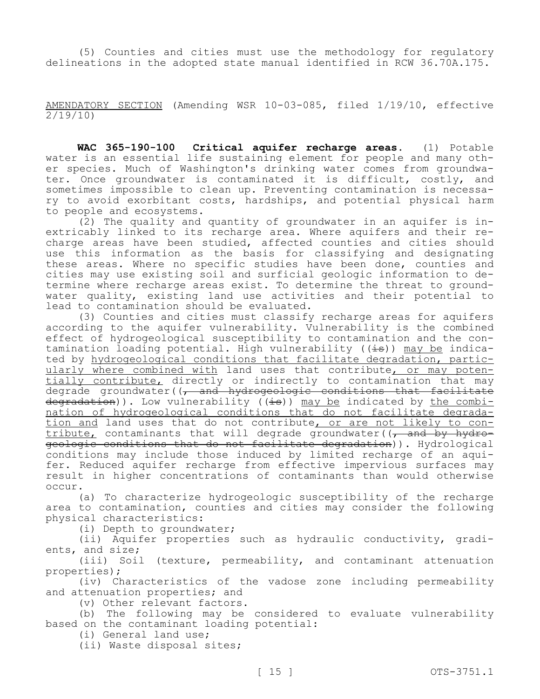(5) Counties and cities must use the methodology for regulatory delineations in the adopted state manual identified in RCW 36.70A.175.

AMENDATORY SECTION (Amending WSR 10-03-085, filed 1/19/10, effective 2/19/10)

**WAC 365-190-100 Critical aquifer recharge areas.** (1) Potable water is an essential life sustaining element for people and many other species. Much of Washington's drinking water comes from groundwater. Once groundwater is contaminated it is difficult, costly, and sometimes impossible to clean up. Preventing contamination is necessary to avoid exorbitant costs, hardships, and potential physical harm to people and ecosystems.

(2) The quality and quantity of groundwater in an aquifer is inextricably linked to its recharge area. Where aquifers and their recharge areas have been studied, affected counties and cities should use this information as the basis for classifying and designating these areas. Where no specific studies have been done, counties and cities may use existing soil and surficial geologic information to determine where recharge areas exist. To determine the threat to groundwater quality, existing land use activities and their potential to lead to contamination should be evaluated.

(3) Counties and cities must classify recharge areas for aquifers according to the aquifer vulnerability. Vulnerability is the combined effect of hydrogeological susceptibility to contamination and the contamination loading potential. High vulnerability ( $(\pm s)$ ) may be indicated by hydrogeological conditions that facilitate degradation, particularly where combined with land uses that contribute, or may potentially contribute, directly or indirectly to contamination that may degrade groundwater((, and hydrogeologic conditions that facilitate  $degradation)$ . Low vulnerability ((is)) may be indicated by the combination of hydrogeological conditions that do not facilitate degradation and land uses that do not contribute, or are not likely to con- $\overline{\text{tribute}}$  contaminants that will degrade groundwater( $\overline{(\tau)}$  and by hydrogeologic conditions that do not facilitate degradation)). Hydrological conditions may include those induced by limited recharge of an aquifer. Reduced aquifer recharge from effective impervious surfaces may result in higher concentrations of contaminants than would otherwise occur.

(a) To characterize hydrogeologic susceptibility of the recharge area to contamination, counties and cities may consider the following physical characteristics:

(i) Depth to groundwater;

(ii) Aquifer properties such as hydraulic conductivity, gradients, and size;

(iii) Soil (texture, permeability, and contaminant attenuation properties);

(iv) Characteristics of the vadose zone including permeability and attenuation properties; and

(v) Other relevant factors.

(b) The following may be considered to evaluate vulnerability based on the contaminant loading potential:

(i) General land use;

(ii) Waste disposal sites;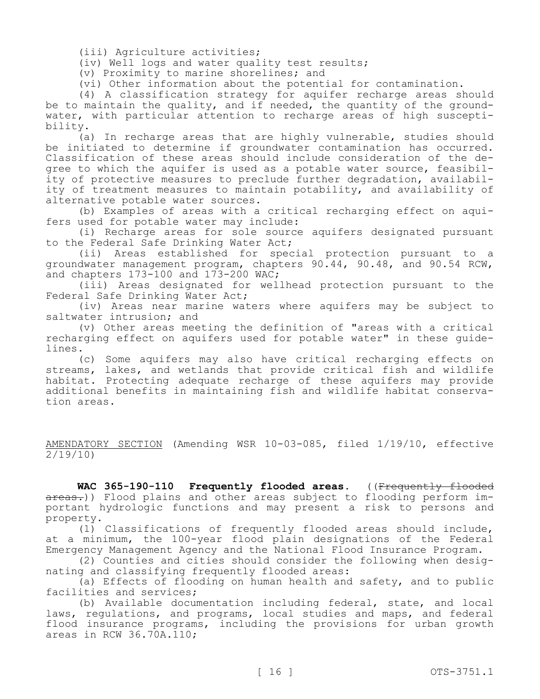(iii) Agriculture activities;

(iv) Well logs and water quality test results;

(v) Proximity to marine shorelines; and

(vi) Other information about the potential for contamination.

(4) A classification strategy for aquifer recharge areas should be to maintain the quality, and if needed, the quantity of the groundwater, with particular attention to recharge areas of high susceptibility.

(a) In recharge areas that are highly vulnerable, studies should be initiated to determine if groundwater contamination has occurred. Classification of these areas should include consideration of the degree to which the aquifer is used as a potable water source, feasibility of protective measures to preclude further degradation, availability of treatment measures to maintain potability, and availability of alternative potable water sources.

(b) Examples of areas with a critical recharging effect on aquifers used for potable water may include:

(i) Recharge areas for sole source aquifers designated pursuant to the Federal Safe Drinking Water Act;<br>(ii) Areas established for spec

Areas established for special protection pursuant to a groundwater management program, chapters 90.44, 90.48, and 90.54 RCW, and chapters  $173-100$  and  $173-200$  WAC;

(iii) Areas designated for wellhead protection pursuant to the Federal Safe Drinking Water Act;

(iv) Areas near marine waters where aquifers may be subject to saltwater intrusion; and

(v) Other areas meeting the definition of "areas with a critical recharging effect on aquifers used for potable water" in these guidelines.

(c) Some aquifers may also have critical recharging effects on streams, lakes, and wetlands that provide critical fish and wildlife habitat. Protecting adequate recharge of these aquifers may provide additional benefits in maintaining fish and wildlife habitat conservation areas.

AMENDATORY SECTION (Amending WSR 10-03-085, filed 1/19/10, effective 2/19/10)

**WAC 365-190-110 Frequently flooded areas.** ((Frequently flooded areas.)) Flood plains and other areas subject to flooding perform important hydrologic functions and may present a risk to persons and property.

(1) Classifications of frequently flooded areas should include, at a minimum, the 100-year flood plain designations of the Federal Emergency Management Agency and the National Flood Insurance Program.

(2) Counties and cities should consider the following when designating and classifying frequently flooded areas:

(a) Effects of flooding on human health and safety, and to public facilities and services;

(b) Available documentation including federal, state, and local laws, regulations, and programs, local studies and maps, and federal flood insurance programs, including the provisions for urban growth areas in RCW 36.70A.110;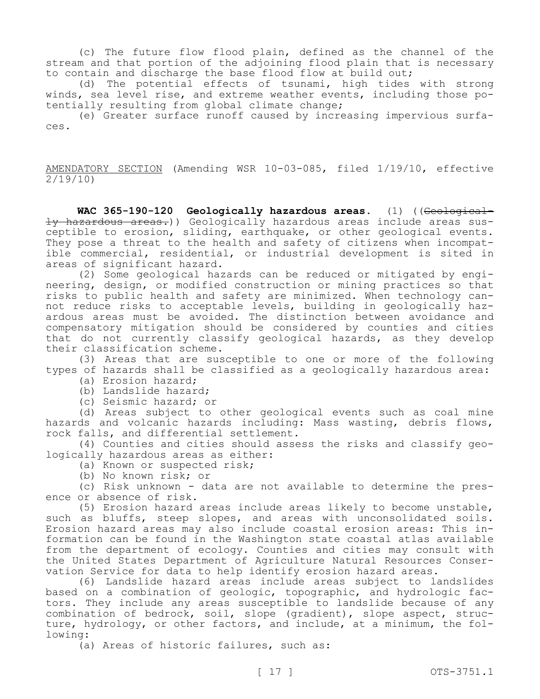(c) The future flow flood plain, defined as the channel of the stream and that portion of the adjoining flood plain that is necessary to contain and discharge the base flood flow at build out;

(d) The potential effects of tsunami, high tides with strong winds, sea level rise, and extreme weather events, including those potentially resulting from global climate change;

(e) Greater surface runoff caused by increasing impervious surfaces.

AMENDATORY SECTION (Amending WSR 10-03-085, filed 1/19/10, effective  $\frac{2}{19/10}$ 

**WAC 365-190-120 Geologically hazardous areas.** (1) ((Geologically hazardous areas.)) Geologically hazardous areas include areas susceptible to erosion, sliding, earthquake, or other geological events. They pose a threat to the health and safety of citizens when incompatible commercial, residential, or industrial development is sited in areas of significant hazard.

(2) Some geological hazards can be reduced or mitigated by engineering, design, or modified construction or mining practices so that risks to public health and safety are minimized. When technology cannot reduce risks to acceptable levels, building in geologically hazardous areas must be avoided. The distinction between avoidance and compensatory mitigation should be considered by counties and cities that do not currently classify geological hazards, as they develop their classification scheme.

(3) Areas that are susceptible to one or more of the following types of hazards shall be classified as a geologically hazardous area:

- (a) Erosion hazard;
- (b) Landslide hazard;
- (c) Seismic hazard; or

(d) Areas subject to other geological events such as coal mine hazards and volcanic hazards including: Mass wasting, debris flows, rock falls, and differential settlement.

(4) Counties and cities should assess the risks and classify geologically hazardous areas as either:

- (a) Known or suspected risk;
- (b) No known risk; or

(c) Risk unknown - data are not available to determine the presence or absence of risk.

(5) Erosion hazard areas include areas likely to become unstable, such as bluffs, steep slopes, and areas with unconsolidated soils. Erosion hazard areas may also include coastal erosion areas: This information can be found in the Washington state coastal atlas available from the department of ecology. Counties and cities may consult with the United States Department of Agriculture Natural Resources Conservation Service for data to help identify erosion hazard areas.

(6) Landslide hazard areas include areas subject to landslides based on a combination of geologic, topographic, and hydrologic factors. They include any areas susceptible to landslide because of any combination of bedrock, soil, slope (gradient), slope aspect, structure, hydrology, or other factors, and include, at a minimum, the following:

(a) Areas of historic failures, such as: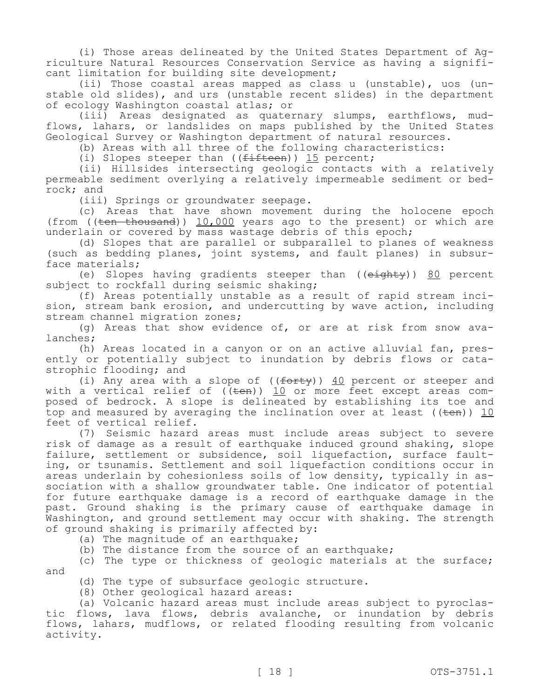(i) Those areas delineated by the United States Department of Agriculture Natural Resources Conservation Service as having a significant limitation for building site development;

(ii) Those coastal areas mapped as class u (unstable), uos (unstable old slides), and urs (unstable recent slides) in the department of ecology Washington coastal atlas; or

(iii) Areas designated as quaternary slumps, earthflows, mudflows, lahars, or landslides on maps published by the United States Geological Survey or Washington department of natural resources.

(b) Areas with all three of the following characteristics:

(i) Slopes steeper than  $((fifteen))$  15 percent;

(ii) Hillsides intersecting geologic contacts with a relatively permeable sediment overlying a relatively impermeable sediment or bedrock; and

(iii) Springs or groundwater seepage.

(c) Areas that have shown movement during the holocene epoch (from ( $(\text{ten }$  thousand)) 10,000 years ago to the present) or which are underlain or covered by mass wastage debris of this epoch;

(d) Slopes that are parallel or subparallel to planes of weakness (such as bedding planes, joint systems, and fault planes) in subsurface materials;

(e) Slopes having gradients steeper than  $((e\texttt{i}q\texttt{h}t\texttt{y}))$  80 percent subject to rockfall during seismic shaking;

(f) Areas potentially unstable as a result of rapid stream incision, stream bank erosion, and undercutting by wave action, including stream channel migration zones;

(g) Areas that show evidence of, or are at risk from snow avalanches;

(h) Areas located in a canyon or on an active alluvial fan, presently or potentially subject to inundation by debris flows or catastrophic flooding; and

(i) Any area with a slope of  $((forty))$  40 percent or steeper and with a vertical relief of ((<del>ten</del>)) <u>10</u> or more feet except areas composed of bedrock. A slope is delineated by establishing its toe and top and measured by averaging the inclination over at least  $((\text{ten}))$  10 feet of vertical relief.

(7) Seismic hazard areas must include areas subject to severe risk of damage as a result of earthquake induced ground shaking, slope failure, settlement or subsidence, soil liquefaction, surface faulting, or tsunamis. Settlement and soil liquefaction conditions occur in areas underlain by cohesionless soils of low density, typically in association with a shallow groundwater table. One indicator of potential for future earthquake damage is a record of earthquake damage in the past. Ground shaking is the primary cause of earthquake damage in Washington, and ground settlement may occur with shaking. The strength of ground shaking is primarily affected by:

(a) The magnitude of an earthquake;

(b) The distance from the source of an earthquake;

(c) The type or thickness of geologic materials at the surface; and

(d) The type of subsurface geologic structure.

(8) Other geological hazard areas:

(a) Volcanic hazard areas must include areas subject to pyroclastic flows, lava flows, debris avalanche, or inundation by debris flows, lahars, mudflows, or related flooding resulting from volcanic activity.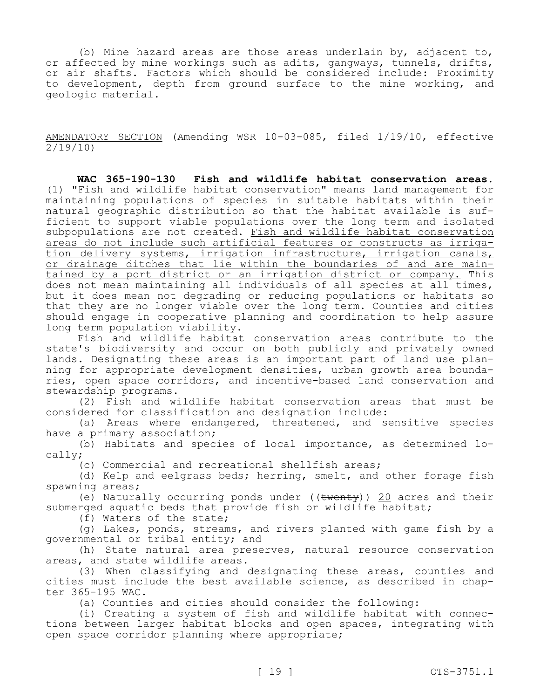(b) Mine hazard areas are those areas underlain by, adjacent to, or affected by mine workings such as adits, gangways, tunnels, drifts, or air shafts. Factors which should be considered include: Proximity to development, depth from ground surface to the mine working, and geologic material.

AMENDATORY SECTION (Amending WSR 10-03-085, filed 1/19/10, effective 2/19/10)

**WAC 365-190-130 Fish and wildlife habitat conservation areas.**  (1) "Fish and wildlife habitat conservation" means land management for maintaining populations of species in suitable habitats within their natural geographic distribution so that the habitat available is sufficient to support viable populations over the long term and isolated subpopulations are not created. Fish and wildlife habitat conservation areas do not include such artificial features or constructs as irrigation delivery systems, irrigation infrastructure, irrigation canals, or drainage ditches that lie within the boundaries of and are maintained by a port district or an irrigation district or company. This does not mean maintaining all individuals of all species at all times, but it does mean not degrading or reducing populations or habitats so that they are no longer viable over the long term. Counties and cities should engage in cooperative planning and coordination to help assure long term population viability.

Fish and wildlife habitat conservation areas contribute to the state's biodiversity and occur on both publicly and privately owned lands. Designating these areas is an important part of land use planning for appropriate development densities, urban growth area boundaries, open space corridors, and incentive-based land conservation and stewardship programs.

(2) Fish and wildlife habitat conservation areas that must be considered for classification and designation include:

(a) Areas where endangered, threatened, and sensitive species have a primary association;

(b) Habitats and species of local importance, as determined locally;

(c) Commercial and recreational shellfish areas;

(d) Kelp and eelgrass beds; herring, smelt, and other forage fish spawning areas;

(e) Naturally occurring ponds under  $((\text{twenty}))$  20 acres and their submerged aquatic beds that provide fish or wildlife habitat;

(f) Waters of the state;

(g) Lakes, ponds, streams, and rivers planted with game fish by a governmental or tribal entity; and

(h) State natural area preserves, natural resource conservation areas, and state wildlife areas.

(3) When classifying and designating these areas, counties and cities must include the best available science, as described in chapter 365-195 WAC.

(a) Counties and cities should consider the following:

(i) Creating a system of fish and wildlife habitat with connections between larger habitat blocks and open spaces, integrating with open space corridor planning where appropriate;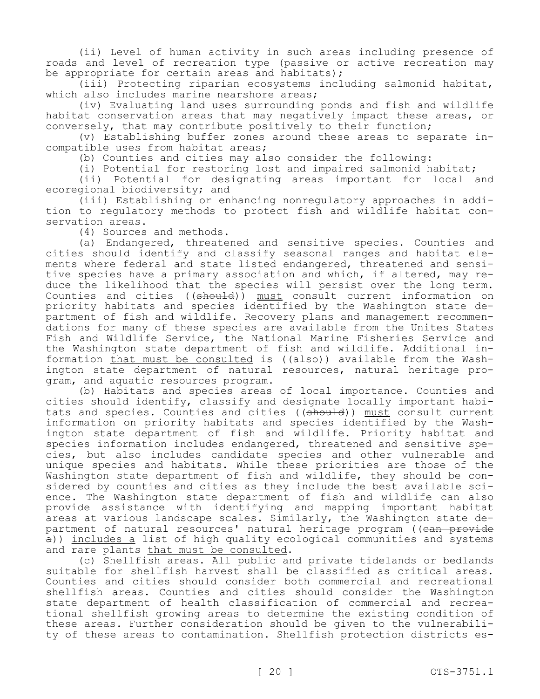(ii) Level of human activity in such areas including presence of roads and level of recreation type (passive or active recreation may be appropriate for certain areas and habitats);

(iii) Protecting riparian ecosystems including salmonid habitat, which also includes marine nearshore areas;

(iv) Evaluating land uses surrounding ponds and fish and wildlife habitat conservation areas that may negatively impact these areas, or conversely, that may contribute positively to their function;

(v) Establishing buffer zones around these areas to separate incompatible uses from habitat areas;

(b) Counties and cities may also consider the following:

(i) Potential for restoring lost and impaired salmonid habitat;

(ii) Potential for designating areas important for local and ecoregional biodiversity; and

(iii) Establishing or enhancing nonregulatory approaches in addition to regulatory methods to protect fish and wildlife habitat conservation areas.

(4) Sources and methods.

(a) Endangered, threatened and sensitive species. Counties and cities should identify and classify seasonal ranges and habitat elements where federal and state listed endangered, threatened and sensitive species have a primary association and which, if altered, may reduce the likelihood that the species will persist over the long term. Counties and cities ((should)) must consult current information on priority habitats and species identified by the Washington state department of fish and wildlife. Recovery plans and management recommendations for many of these species are available from the Unites States Fish and Wildlife Service, the National Marine Fisheries Service and the Washington state department of fish and wildlife. Additional information that must be consulted is ((also)) available from the Washington state department of natural resources, natural heritage program, and aquatic resources program.

(b) Habitats and species areas of local importance. Counties and cities should identify, classify and designate locally important habitats and species. Counties and cities ((should)) must consult current information on priority habitats and species identified by the Washington state department of fish and wildlife. Priority habitat and species information includes endangered, threatened and sensitive species, but also includes candidate species and other vulnerable and unique species and habitats. While these priorities are those of the Washington state department of fish and wildlife, they should be considered by counties and cities as they include the best available science. The Washington state department of fish and wildlife can also provide assistance with identifying and mapping important habitat areas at various landscape scales. Similarly, the Washington state department of natural resources' natural heritage program ((ean provide a)) includes a list of high quality ecological communities and systems and rare plants that must be consulted.

(c) Shellfish areas. All public and private tidelands or bedlands suitable for shellfish harvest shall be classified as critical areas. Counties and cities should consider both commercial and recreational shellfish areas. Counties and cities should consider the Washington state department of health classification of commercial and recreational shellfish growing areas to determine the existing condition of these areas. Further consideration should be given to the vulnerability of these areas to contamination. Shellfish protection districts es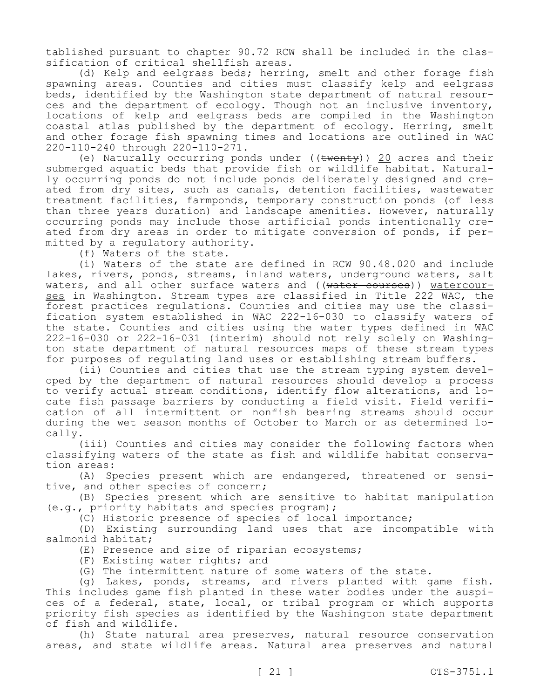tablished pursuant to chapter 90.72 RCW shall be included in the classification of critical shellfish areas.

(d) Kelp and eelgrass beds; herring, smelt and other forage fish spawning areas. Counties and cities must classify kelp and eelgrass beds, identified by the Washington state department of natural resources and the department of ecology. Though not an inclusive inventory, locations of kelp and eelgrass beds are compiled in the Washington coastal atlas published by the department of ecology. Herring, smelt and other forage fish spawning times and locations are outlined in WAC 220-110-240 through 220-110-271.

(e) Naturally occurring ponds under  $((\text{twenty}))$  20 acres and their submerged aquatic beds that provide fish or wildlife habitat. Naturally occurring ponds do not include ponds deliberately designed and created from dry sites, such as canals, detention facilities, wastewater treatment facilities, farmponds, temporary construction ponds (of less than three years duration) and landscape amenities. However, naturally occurring ponds may include those artificial ponds intentionally created from dry areas in order to mitigate conversion of ponds, if permitted by a regulatory authority.

(f) Waters of the state.

(i) Waters of the state are defined in RCW 90.48.020 and include lakes, rivers, ponds, streams, inland waters, underground waters, salt waters, and all other surface waters and ((water courses)) watercourses in Washington. Stream types are classified in Title 222 WAC, the forest practices regulations. Counties and cities may use the classification system established in WAC 222-16-030 to classify waters of the state. Counties and cities using the water types defined in WAC 222-16-030 or 222-16-031 (interim) should not rely solely on Washington state department of natural resources maps of these stream types for purposes of regulating land uses or establishing stream buffers.

(ii) Counties and cities that use the stream typing system developed by the department of natural resources should develop a process to verify actual stream conditions, identify flow alterations, and locate fish passage barriers by conducting a field visit. Field verification of all intermittent or nonfish bearing streams should occur during the wet season months of October to March or as determined locally.

(iii) Counties and cities may consider the following factors when classifying waters of the state as fish and wildlife habitat conservation areas:

(A) Species present which are endangered, threatened or sensitive, and other species of concern;

(B) Species present which are sensitive to habitat manipulation (e.g., priority habitats and species program);

(C) Historic presence of species of local importance;

(D) Existing surrounding land uses that are incompatible with salmonid habitat;

(E) Presence and size of riparian ecosystems;

(F) Existing water rights; and

(G) The intermittent nature of some waters of the state.

(g) Lakes, ponds, streams, and rivers planted with game fish. This includes game fish planted in these water bodies under the auspices of a federal, state, local, or tribal program or which supports priority fish species as identified by the Washington state department of fish and wildlife.

(h) State natural area preserves, natural resource conservation areas, and state wildlife areas. Natural area preserves and natural